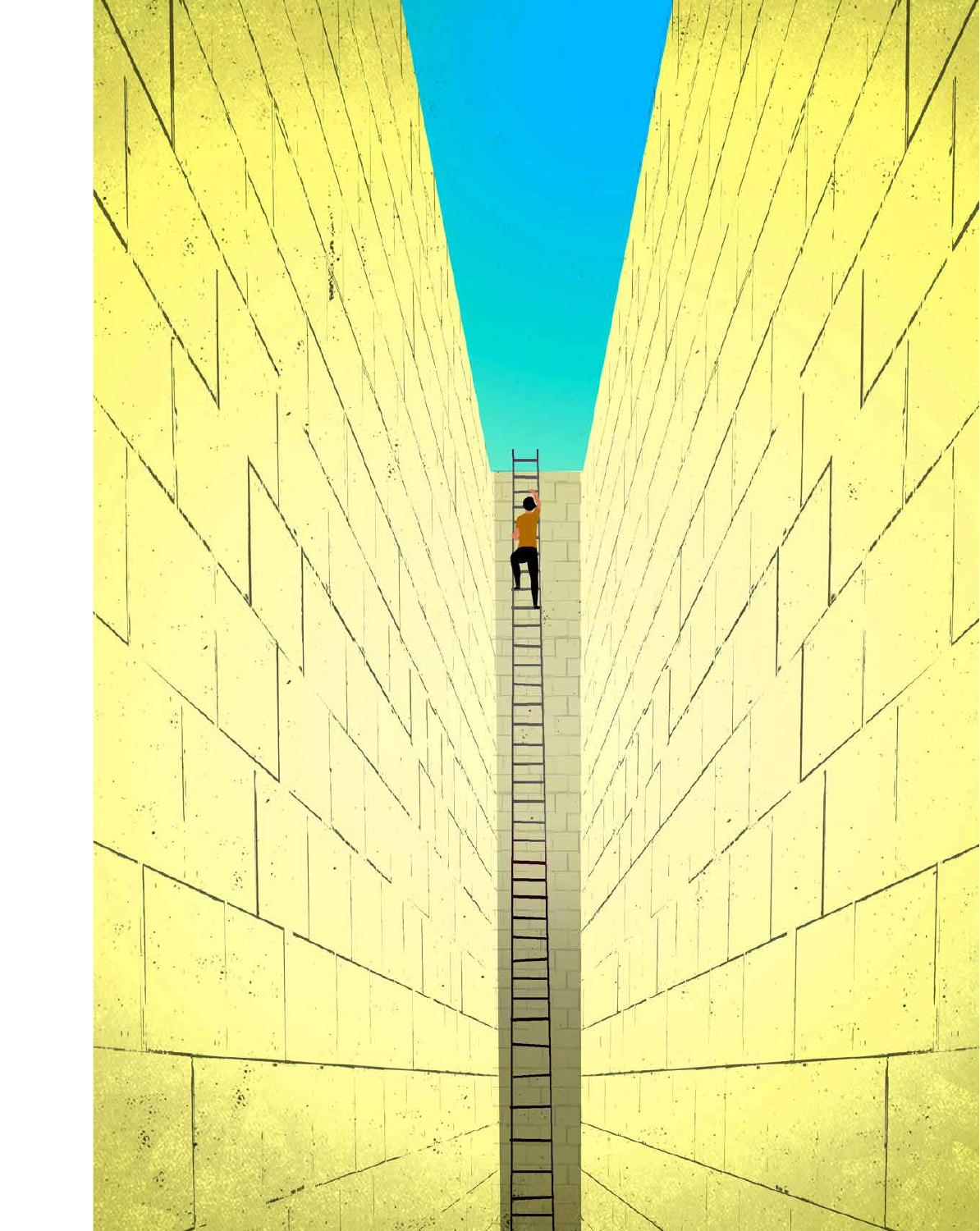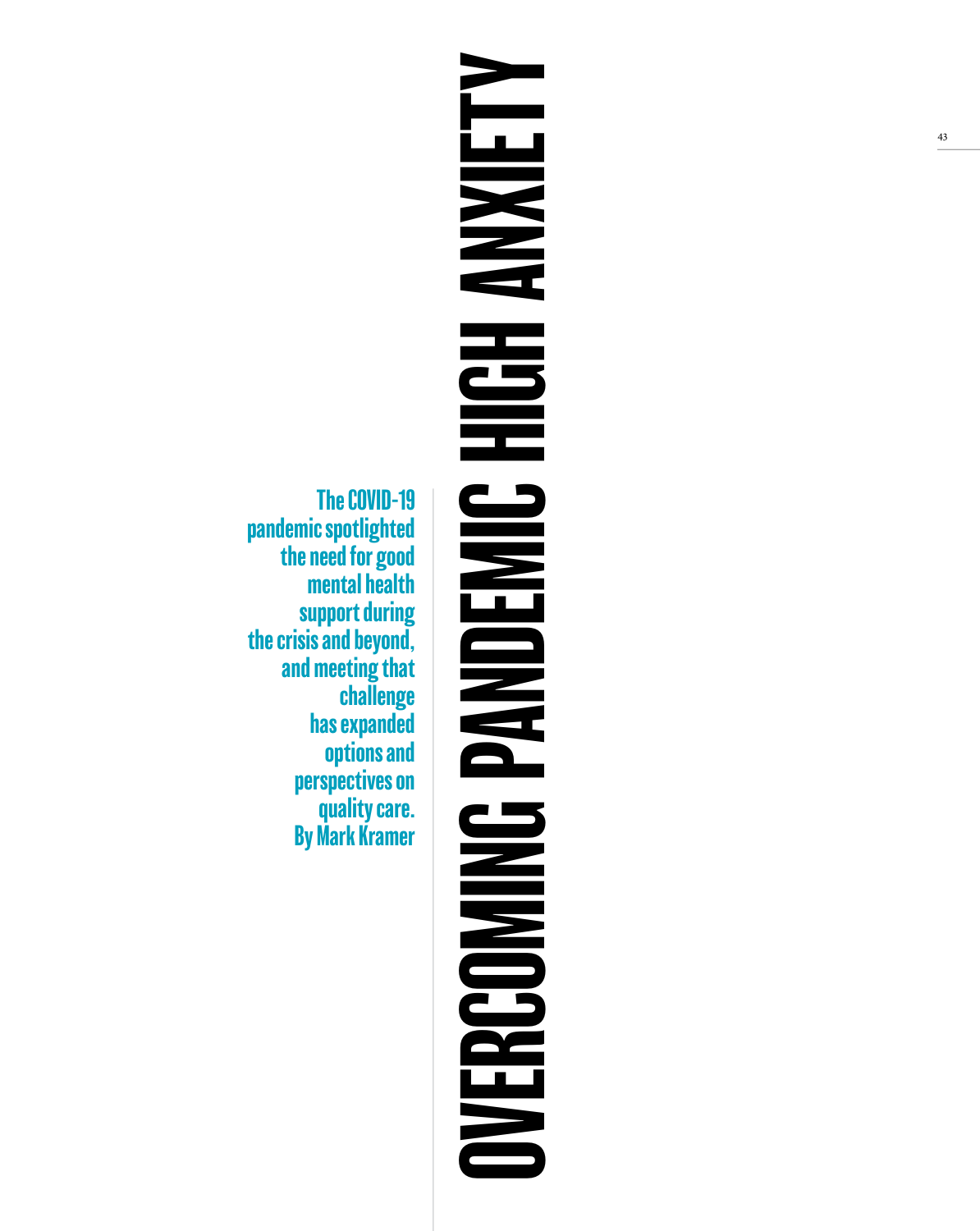# OVERCOMING PANDEMIC PANDEMIC PANDEMIC P **NANXIET** HCH **PANDEMIC JARCOMMING**

The COVID-19 pandemic spotlighted the need for good mental health support during the crisis and beyond, and meeting that challenge has expanded options and perspectives on quality care. By Mark Kramer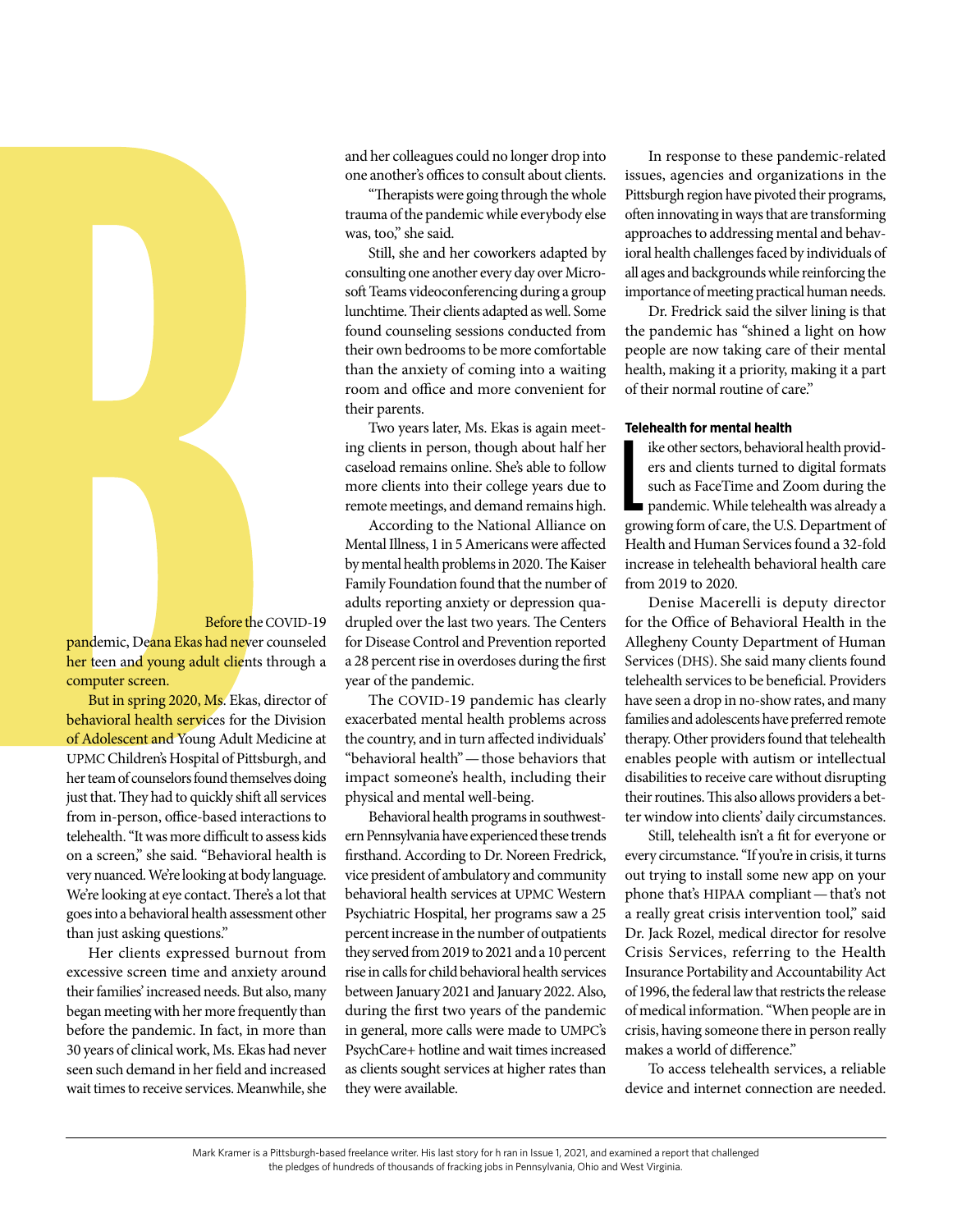

### Before the COVID-19

pandemic, Deana Ekas had never counseled her teen and young adult clients through a computer screen.

But in spring 2020, Ms. Ekas, director of behavioral health services for the Division of Adolescent and Young Adult Medicine at UPMC Children's Hospital of Pittsburgh, and her team of counselors found themselves doing just that. They had to quickly shift all services from in-person, office-based interactions to telehealth. "It was more difficult to assess kids on a screen," she said. "Behavioral health is very nuanced. We're looking at body language. We're looking at eye contact. There's a lot that goes into a behavioral health assessment other than just asking questions."

Her clients expressed burnout from excessive screen time and anxiety around their families' increased needs. But also, many began meeting with her more frequently than before the pandemic. In fact, in more than 30 years of clinical work, Ms. Ekas had never seen such demand in her field and increased wait times to receive services. Meanwhile, she and her colleagues could no longer drop into one another's offices to consult about clients.

"Therapists were going through the whole trauma of the pandemic while everybody else was, too," she said.

Still, she and her coworkers adapted by consulting one another every day over Microsoft Teams videoconferencing during a group lunchtime. Their clients adapted as well. Some found counseling sessions conducted from their own bedrooms to be more comfortable than the anxiety of coming into a waiting room and office and more convenient for their parents.

Two years later, Ms. Ekas is again meeting clients in person, though about half her caseload remains online. She's able to follow more clients into their college years due to remote meetings, and demand remains high.

According to the National Alliance on Mental Illness, 1 in 5 Americans were affected by mental health problems in 2020. The Kaiser Family Foundation found that the number of adults reporting anxiety or depression quadrupled over the last two years. The Centers for Disease Control and Prevention reported a 28 percent rise in overdoses during the first year of the pandemic.

The COVID-19 pandemic has clearly exacerbated mental health problems across the country, and in turn affected individuals' "behavioral health" — those behaviors that impact someone's health, including their physical and mental well-being.

Behavioral health programs in southwestern Pennsylvania have experienced these trends firsthand. According to Dr. Noreen Fredrick, vice president of ambulatory and community behavioral health services at UPMC Western Psychiatric Hospital, her programs saw a 25 percent increase in the number of outpatients they served from 2019 to 2021 and a 10 percent rise in calls for child behavioral health services between January 2021 and January 2022. Also, during the first two years of the pandemic in general, more calls were made to UMPC's PsychCare+ hotline and wait times increased as clients sought services at higher rates than they were available.

In response to these pandemic-related issues, agencies and organizations in the Pittsburgh region have pivoted their programs, often innovating in ways that are transforming approaches to addressing mental and behavioral health challenges faced by individuals of all ages and backgrounds while reinforcing the importance of meeting practical human needs.

Dr. Fredrick said the silver lining is that the pandemic has "shined a light on how people are now taking care of their mental health, making it a priority, making it a part of their normal routine of care."

### **Telehealth for mental health**

ike other sectors, behavioral health providers and clients turned to digital formats such as FaceTime and Zoom during the pandemic. While telehealth was already a growing form of care, the U.S. Department of ike other sectors, behavioral health providers and clients turned to digital formats such as FaceTime and Zoom during the pandemic. While telehealth was already a Health and Human Services found a 32-fold increase in telehealth behavioral health care from 2019 to 2020.

Denise Macerelli is deputy director for the Office of Behavioral Health in the Allegheny County Department of Human Services (DHS). She said many clients found telehealth services to be beneficial. Providers have seen a drop in no-show rates, and many families and adolescents have preferred remote therapy. Other providers found that telehealth enables people with autism or intellectual disabilities to receive care without disrupting their routines. This also allows providers a better window into clients' daily circumstances.

Still, telehealth isn't a fit for everyone or every circumstance. "If you're in crisis, it turns out trying to install some new app on your phone that's HIPAA compliant — that's not a really great crisis intervention tool," said Dr. Jack Rozel, medical director for resolve Crisis Services, referring to the Health Insurance Portability and Accountability Act of 1996, the federal law that restricts the release of medical information. "When people are in crisis, having someone there in person really makes a world of difference."

To access telehealth services, a reliable device and internet connection are needed.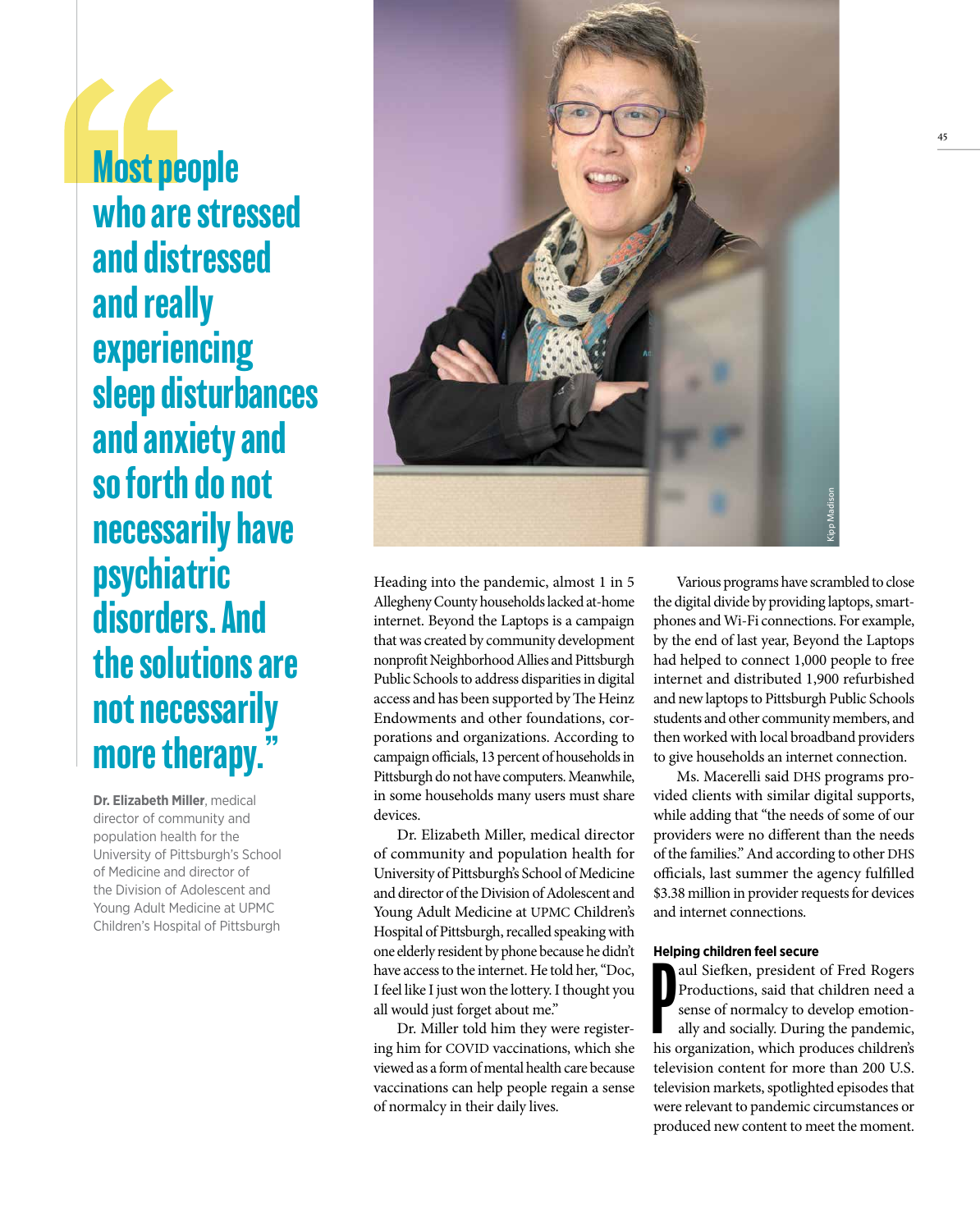Most people who are stressed and distressed and really experiencing sleep disturbances and anxiety and so forth do not necessarily have psychiatric disorders. And the solutions are not necessarily more therapy."

**Dr. Elizabeth Miller**, medical director of community and population health for the University of Pittsburgh's School of Medicine and director of the Division of Adolescent and Young Adult Medicine at UPMC Children's Hospital of Pittsburgh



Heading into the pandemic, almost 1 in 5 Allegheny County households lacked at-home internet. Beyond the Laptops is a campaign that was created by community development nonprofit Neighborhood Allies and Pittsburgh Public Schools to address disparities in digital access and has been supported by The Heinz Endowments and other foundations, corporations and organizations. According to campaign officials, 13 percent of households in Pittsburgh do not have computers. Meanwhile, in some households many users must share devices.

Dr. Elizabeth Miller, medical director of community and population health for University of Pittsburgh's School of Medicine and director of the Division of Adolescent and Young Adult Medicine at UPMC Children's Hospital of Pittsburgh, recalled speaking with one elderly resident by phone because he didn't have access to the internet. He told her, "Doc, I feel like I just won the lottery. I thought you all would just forget about me."

Dr. Miller told him they were registering him for COVID vaccinations, which she viewed as a form of mental health care because vaccinations can help people regain a sense of normalcy in their daily lives.

Various programs have scrambled to close the digital divide by providing laptops, smartphones and Wi-Fi connections. For example, by the end of last year, Beyond the Laptops had helped to connect 1,000 people to free internet and distributed 1,900 refurbished and new laptops to Pittsburgh Public Schools students and other community members, and then worked with local broadband providers to give households an internet connection. Various programs have scrambled to close<br>the digital divide by providing laptops, smart-<br>phones and Wi-Fi connections. For example,<br>by the end of last year, Beyond the Laptops<br>had helped to connect 1,000 people to free<br>in

Ms. Macerelli said DHS programs provided clients with similar digital supports, while adding that "the needs of some of our providers were no different than the needs of the families." And according to other DHS officials, last summer the agency fulfilled \$3.38 million in provider requests for devices and internet connections.

### **Helping children feel secure**

aul Siefken, president of Fred Rogers<br>Productions, said that children need a<br>sense of normalcy to develop emotion-<br>ally and socially. During the pandemic,<br>his organization, which produces children's aul Siefken, president of Fred Rogers Productions, said that children need a sense of normalcy to develop emotionally and socially. During the pandemic, television content for more than 200 U.S. television markets, spotlighted episodes that were relevant to pandemic circumstances or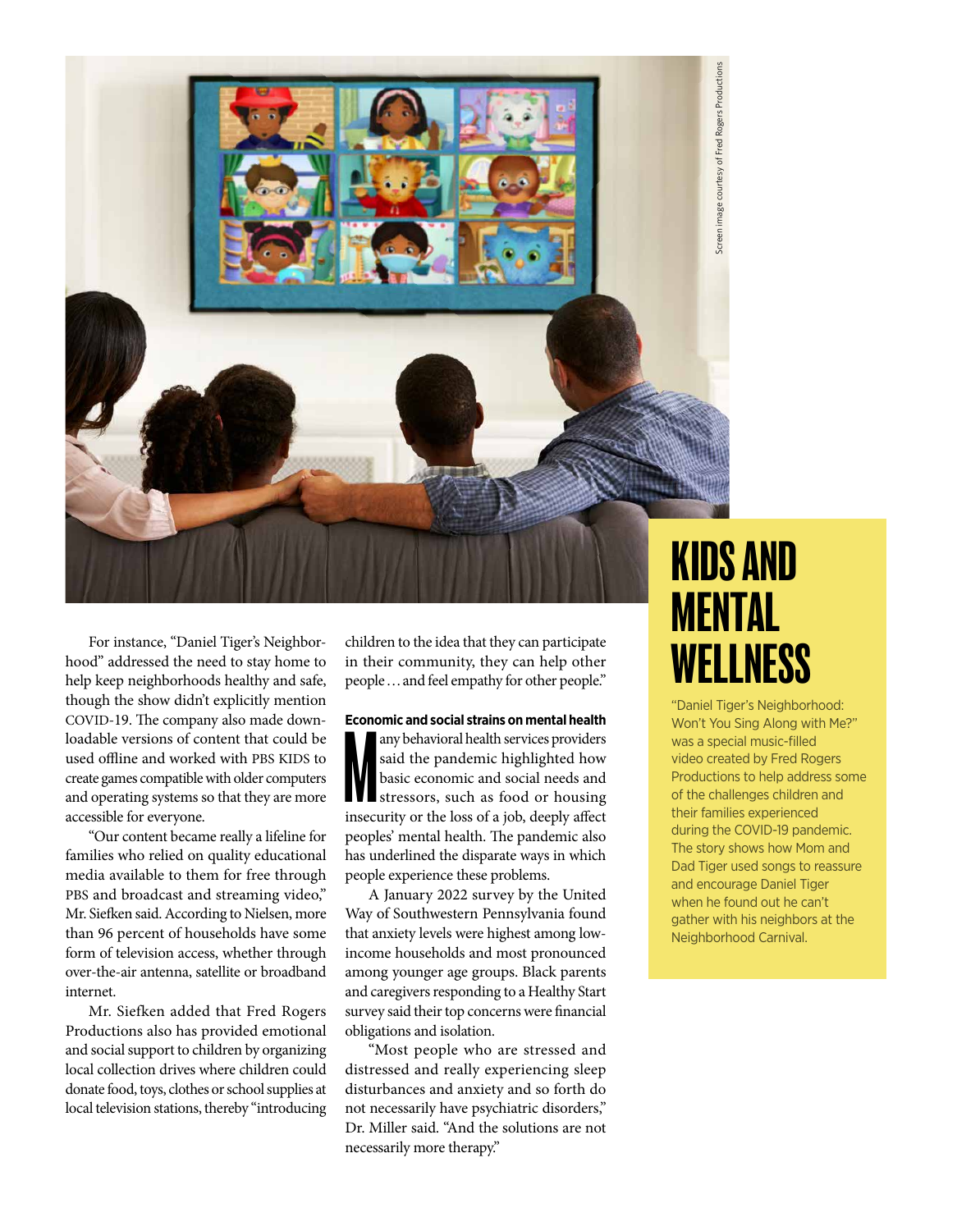

For instance, "Daniel Tiger's Neighborhood" addressed the need to stay home to help keep neighborhoods healthy and safe, though the show didn't explicitly mention COVID-19. The company also made downloadable versions of content that could be used offline and worked with PBS KIDS to create games compatible with older computers and operating systems so that they are more accessible for everyone.

"Our content became really a lifeline for families who relied on quality educational media available to them for free through PBS and broadcast and streaming video," Mr. Siefken said. According to Nielsen, more than 96 percent of households have some form of television access, whether through over-the-air antenna, satellite or broadband internet.

Mr. Siefken added that Fred Rogers Productions also has provided emotional and social support to children by organizing local collection drives where children could donate food, toys, clothes or school supplies at local television stations, thereby "introducing

children to the idea that they can participate in their community, they can help other people … and feel empathy for other people."

**Economic and social strains on mental health**

any behavioral health services providers<br>said the pandemic highlighted how<br>basic economic and social needs and<br>stressors, such as food or housing<br>insecurity or the loss of a job, deeply affect any behavioral health services providers said the pandemic highlighted how basic economic and social needs and stressors, such as food or housing peoples' mental health. The pandemic also has underlined the disparate ways in which people experience these problems.

A January 2022 survey by the United Way of Southwestern Pennsylvania found that anxiety levels were highest among lowincome households and most pronounced among younger age groups. Black parents and caregivers responding to a Healthy Start survey said their top concerns were financial obligations and isolation.

"Most people who are stressed and distressed and really experiencing sleep disturbances and anxiety and so forth do not necessarily have psychiatric disorders," Dr. Miller said. "And the solutions are not necessarily more therapy."

# KIDS AND **MENTAL WELLNESS**

"Daniel Tiger's Neighborhood: Won't You Sing Along with Me?" was a special music-filled video created by Fred Rogers Productions to help address some of the challenges children and their families experienced during the COVID-19 pandemic. The story shows how Mom and Dad Tiger used songs to reassure and encourage Daniel Tiger when he found out he can't gather with his neighbors at the Neighborhood Carnival.